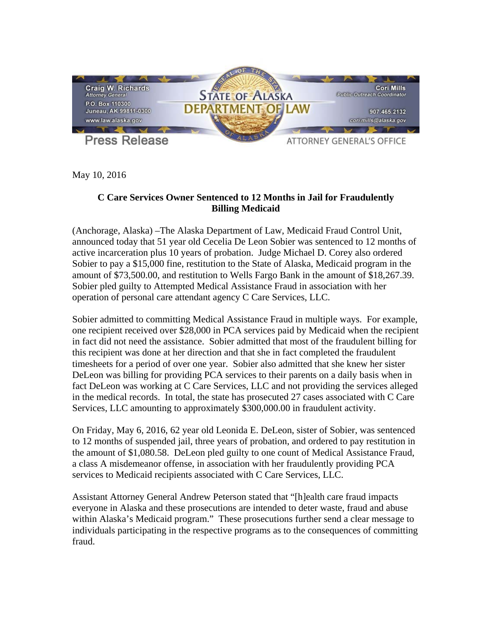

May 10, 2016

## **C Care Services Owner Sentenced to 12 Months in Jail for Fraudulently Billing Medicaid**

(Anchorage, Alaska) –The Alaska Department of Law, Medicaid Fraud Control Unit, announced today that 51 year old Cecelia De Leon Sobier was sentenced to 12 months of active incarceration plus 10 years of probation. Judge Michael D. Corey also ordered Sobier to pay a \$15,000 fine, restitution to the State of Alaska, Medicaid program in the amount of \$73,500.00, and restitution to Wells Fargo Bank in the amount of \$18,267.39. Sobier pled guilty to Attempted Medical Assistance Fraud in association with her operation of personal care attendant agency C Care Services, LLC.

Sobier admitted to committing Medical Assistance Fraud in multiple ways. For example, one recipient received over \$28,000 in PCA services paid by Medicaid when the recipient in fact did not need the assistance. Sobier admitted that most of the fraudulent billing for this recipient was done at her direction and that she in fact completed the fraudulent timesheets for a period of over one year. Sobier also admitted that she knew her sister DeLeon was billing for providing PCA services to their parents on a daily basis when in fact DeLeon was working at C Care Services, LLC and not providing the services alleged in the medical records. In total, the state has prosecuted 27 cases associated with C Care Services, LLC amounting to approximately \$300,000.00 in fraudulent activity.

On Friday, May 6, 2016, 62 year old Leonida E. DeLeon, sister of Sobier, was sentenced to 12 months of suspended jail, three years of probation, and ordered to pay restitution in the amount of \$1,080.58. DeLeon pled guilty to one count of Medical Assistance Fraud, a class A misdemeanor offense, in association with her fraudulently providing PCA services to Medicaid recipients associated with C Care Services, LLC.

Assistant Attorney General Andrew Peterson stated that "[h]ealth care fraud impacts everyone in Alaska and these prosecutions are intended to deter waste, fraud and abuse within Alaska's Medicaid program." These prosecutions further send a clear message to individuals participating in the respective programs as to the consequences of committing fraud.